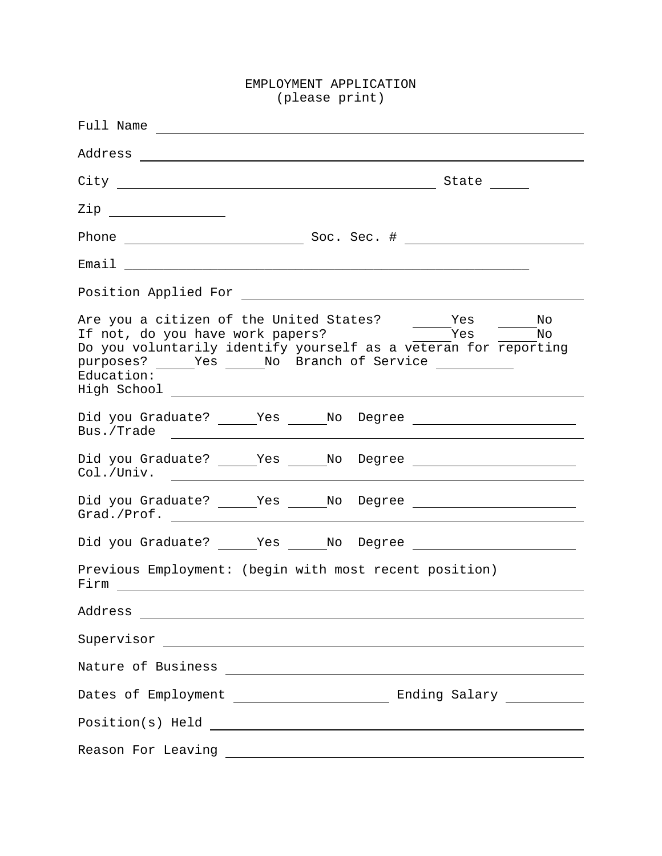## EMPLOYMENT APPLICATION (please print)

| State $\frac{\ }{\ }$                                                                                                                                                                                                                                                                                                                                                                                                                                                                                                                                                                                                                                                                                                   |
|-------------------------------------------------------------------------------------------------------------------------------------------------------------------------------------------------------------------------------------------------------------------------------------------------------------------------------------------------------------------------------------------------------------------------------------------------------------------------------------------------------------------------------------------------------------------------------------------------------------------------------------------------------------------------------------------------------------------------|
| $\mathsf{Zip}$                                                                                                                                                                                                                                                                                                                                                                                                                                                                                                                                                                                                                                                                                                          |
|                                                                                                                                                                                                                                                                                                                                                                                                                                                                                                                                                                                                                                                                                                                         |
| Email 2008 and 2008 and 2008 and 2008 and 2008 and 2008 and 2008 and 2008 and 2008 and 2008 and 2008 and 2008 and 2008 and 2008 and 2008 and 2008 and 2008 and 2008 and 2008 and 2008 and 2008 and 2008 and 2008 and 2008 and                                                                                                                                                                                                                                                                                                                                                                                                                                                                                           |
|                                                                                                                                                                                                                                                                                                                                                                                                                                                                                                                                                                                                                                                                                                                         |
| Are you a citizen of the United States? _______Yes<br>$\overline{\phantom{1}}$ $\overline{\phantom{1}}$ $\overline{\phantom{1}}$ $\overline{\phantom{1}}$ $\overline{\phantom{1}}$ $\overline{\phantom{1}}$ $\overline{\phantom{1}}$ $\overline{\phantom{1}}$ $\overline{\phantom{1}}$ $\overline{\phantom{1}}$ $\overline{\phantom{1}}$ $\overline{\phantom{1}}$ $\overline{\phantom{1}}$ $\overline{\phantom{1}}$ $\overline{\phantom{1}}$ $\overline{\phantom{1}}$ $\overline{\phantom{1}}$ $\overline{\phantom{1}}$ $\overline{\$<br>If not, do you have work papers?<br>Do you voluntarily identify yourself as a veteran for reporting<br>purposes? _____Yes _____No Branch of Service ____________<br>Education: |
|                                                                                                                                                                                                                                                                                                                                                                                                                                                                                                                                                                                                                                                                                                                         |
|                                                                                                                                                                                                                                                                                                                                                                                                                                                                                                                                                                                                                                                                                                                         |
|                                                                                                                                                                                                                                                                                                                                                                                                                                                                                                                                                                                                                                                                                                                         |
|                                                                                                                                                                                                                                                                                                                                                                                                                                                                                                                                                                                                                                                                                                                         |
| Previous Employment: (begin with most recent position)                                                                                                                                                                                                                                                                                                                                                                                                                                                                                                                                                                                                                                                                  |
| Address<br><u> 2008 - Jan James Barnett, fransk politik (d. 1878)</u>                                                                                                                                                                                                                                                                                                                                                                                                                                                                                                                                                                                                                                                   |
|                                                                                                                                                                                                                                                                                                                                                                                                                                                                                                                                                                                                                                                                                                                         |
|                                                                                                                                                                                                                                                                                                                                                                                                                                                                                                                                                                                                                                                                                                                         |
|                                                                                                                                                                                                                                                                                                                                                                                                                                                                                                                                                                                                                                                                                                                         |
|                                                                                                                                                                                                                                                                                                                                                                                                                                                                                                                                                                                                                                                                                                                         |
| Reason For Leaving<br><u> 1989 - Johann Barbara, martin amerikan basal dan bahasa dan bahasa dalam basal dan bahasa dan bahasa da</u>                                                                                                                                                                                                                                                                                                                                                                                                                                                                                                                                                                                   |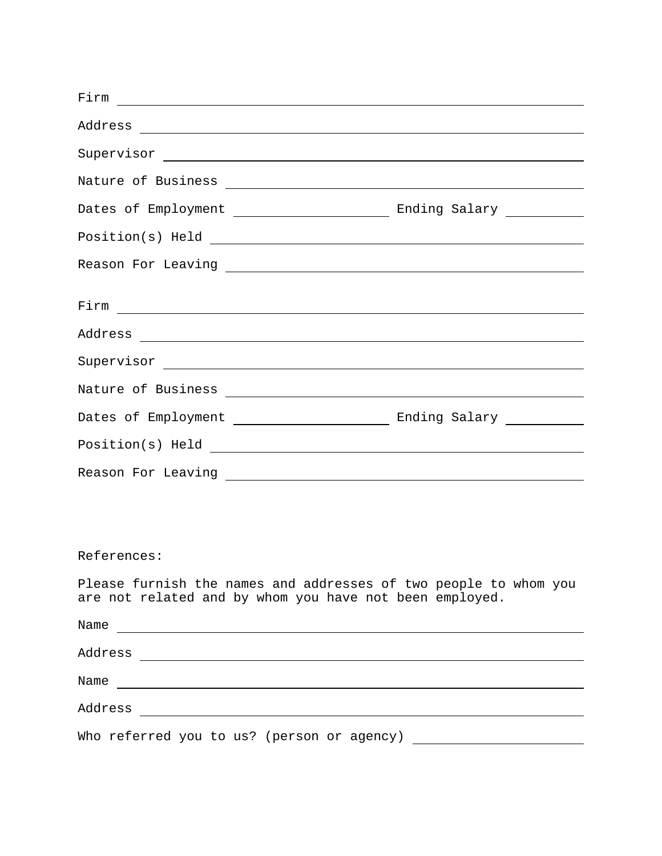| $Firm$ $\overline{\phantom{a}}$                                                                                                                                                                                                |  |
|--------------------------------------------------------------------------------------------------------------------------------------------------------------------------------------------------------------------------------|--|
|                                                                                                                                                                                                                                |  |
|                                                                                                                                                                                                                                |  |
|                                                                                                                                                                                                                                |  |
|                                                                                                                                                                                                                                |  |
| $Position(s)$ Held $\overline{\qquad \qquad }$                                                                                                                                                                                 |  |
|                                                                                                                                                                                                                                |  |
|                                                                                                                                                                                                                                |  |
| $Firm$ $\overline{\phantom{a}}$                                                                                                                                                                                                |  |
|                                                                                                                                                                                                                                |  |
|                                                                                                                                                                                                                                |  |
|                                                                                                                                                                                                                                |  |
|                                                                                                                                                                                                                                |  |
| Position(s) Held experience and the set of the set of the set of the set of the set of the set of the set of the set of the set of the set of the set of the set of the set of the set of the set of the set of the set of the |  |
|                                                                                                                                                                                                                                |  |
|                                                                                                                                                                                                                                |  |

## References:

Please furnish the names and addresses of two people to whom you are not related and by whom you have not been employed.

| Name                                       |
|--------------------------------------------|
| Address                                    |
| Name                                       |
| Address                                    |
| Who referred you to us? (person or agency) |